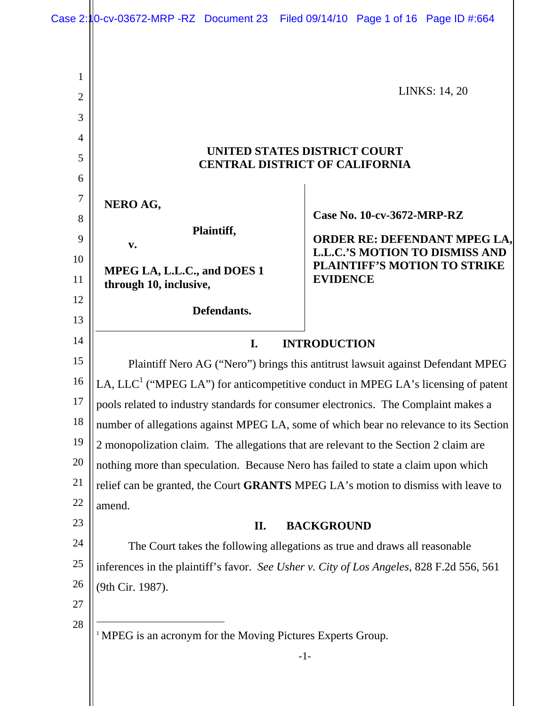|                                | Case 2: 10-cv-03672-MRP -RZ Document 23 Filed 09/14/10 Page 1 of 16 Page ID #:664                 |                                                                                                                                 |  |
|--------------------------------|---------------------------------------------------------------------------------------------------|---------------------------------------------------------------------------------------------------------------------------------|--|
|                                |                                                                                                   |                                                                                                                                 |  |
|                                |                                                                                                   |                                                                                                                                 |  |
| $\mathbf{1}$<br>$\overline{2}$ | <b>LINKS: 14, 20</b>                                                                              |                                                                                                                                 |  |
| 3                              |                                                                                                   |                                                                                                                                 |  |
| 4                              | UNITED STATES DISTRICT COURT<br><b>CENTRAL DISTRICT OF CALIFORNIA</b>                             |                                                                                                                                 |  |
| 5                              |                                                                                                   |                                                                                                                                 |  |
| 6                              |                                                                                                   |                                                                                                                                 |  |
| $\boldsymbol{7}$               |                                                                                                   |                                                                                                                                 |  |
| 8                              | NERO AG,<br>Plaintiff,<br>$\mathbf{v}$ .<br>MPEG LA, L.L.C., and DOES 1<br>through 10, inclusive, | Case No. 10-cv-3672-MRP-RZ                                                                                                      |  |
| 9                              |                                                                                                   | <b>ORDER RE: DEFENDANT MPEG LA,</b><br><b>L.L.C.'S MOTION TO DISMISS AND</b><br>PLAINTIFF'S MOTION TO STRIKE<br><b>EVIDENCE</b> |  |
| 10                             |                                                                                                   |                                                                                                                                 |  |
| 11                             |                                                                                                   |                                                                                                                                 |  |
| 12                             |                                                                                                   |                                                                                                                                 |  |
| 13                             | Defendants.                                                                                       |                                                                                                                                 |  |
| 14                             | I.<br><b>INTRODUCTION</b>                                                                         |                                                                                                                                 |  |
| 15                             | Plaintiff Nero AG ("Nero") brings this antitrust lawsuit against Defendant MPEG                   |                                                                                                                                 |  |
| 16                             | LA, LLC <sup>1</sup> ("MPEG LA") for anticompetitive conduct in MPEG LA's licensing of patent     |                                                                                                                                 |  |
| 17                             | pools related to industry standards for consumer electronics. The Complaint makes a               |                                                                                                                                 |  |
| 18                             | number of allegations against MPEG LA, some of which bear no relevance to its Section             |                                                                                                                                 |  |
| 19                             | 2 monopolization claim. The allegations that are relevant to the Section 2 claim are              |                                                                                                                                 |  |
| 20                             | nothing more than speculation. Because Nero has failed to state a claim upon which                |                                                                                                                                 |  |
| 21                             | relief can be granted, the Court GRANTS MPEG LA's motion to dismiss with leave to                 |                                                                                                                                 |  |
| 22                             | amend.                                                                                            |                                                                                                                                 |  |
| 23                             | <b>BACKGROUND</b><br>II.                                                                          |                                                                                                                                 |  |
| 24                             | The Court takes the following allegations as true and draws all reasonable                        |                                                                                                                                 |  |
| 25                             | inferences in the plaintiff's favor. See Usher v. City of Los Angeles, 828 F.2d 556, 561          |                                                                                                                                 |  |
| 26                             | (9th Cir. 1987).                                                                                  |                                                                                                                                 |  |
| $27\,$                         |                                                                                                   |                                                                                                                                 |  |
| 28                             | <sup>1</sup> MPEG is an acronym for the Moving Pictures Experts Group.                            |                                                                                                                                 |  |
|                                |                                                                                                   | $-1-$                                                                                                                           |  |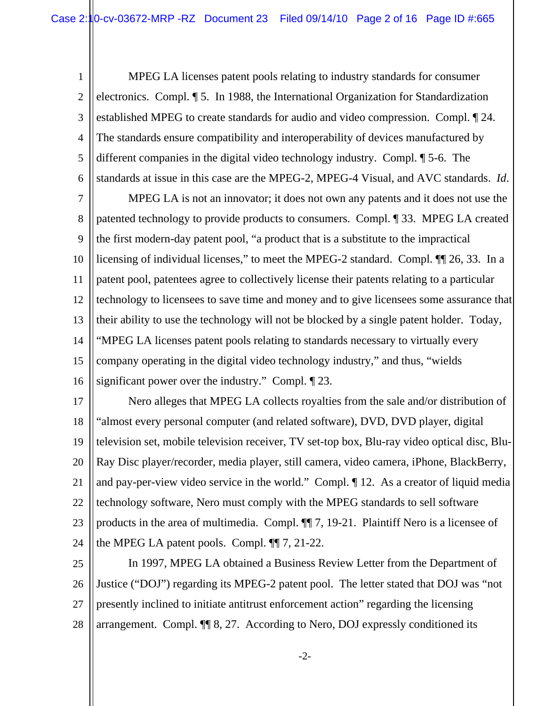1 2 3 4 5 6 MPEG LA licenses patent pools relating to industry standards for consumer electronics. Compl. ¶ 5. In 1988, the International Organization for Standardization established MPEG to create standards for audio and video compression. Compl. ¶ 24. The standards ensure compatibility and interoperability of devices manufactured by different companies in the digital video technology industry. Compl. ¶ 5-6.The standards at issue in this case are the MPEG-2, MPEG-4 Visual, and AVC standards. *Id*.

7 8 9 10 11 12 13 14 15 16 MPEG LA is not an innovator; it does not own any patents and it does not use the patented technology to provide products to consumers. Compl. ¶ 33. MPEG LA created the first modern-day patent pool, "a product that is a substitute to the impractical licensing of individual licenses," to meet the MPEG-2 standard. Compl. ¶¶ 26, 33. In a patent pool, patentees agree to collectively license their patents relating to a particular technology to licensees to save time and money and to give licensees some assurance that their ability to use the technology will not be blocked by a single patent holder. Today, "MPEG LA licenses patent pools relating to standards necessary to virtually every company operating in the digital video technology industry," and thus, "wields significant power over the industry." Compl. ¶ 23.

17 18 19 20 21 22 23 24 Nero alleges that MPEG LA collects royalties from the sale and/or distribution of "almost every personal computer (and related software), DVD, DVD player, digital television set, mobile television receiver, TV set-top box, Blu-ray video optical disc, Blu-Ray Disc player/recorder, media player, still camera, video camera, iPhone, BlackBerry, and pay-per-view video service in the world." Compl. ¶ 12. As a creator of liquid media technology software, Nero must comply with the MPEG standards to sell software products in the area of multimedia. Compl. ¶¶ 7, 19-21. Plaintiff Nero is a licensee of the MPEG LA patent pools. Compl. ¶¶ 7, 21-22.

25 26 27 28 In 1997, MPEG LA obtained a Business Review Letter from the Department of Justice ("DOJ") regarding its MPEG-2 patent pool. The letter stated that DOJ was "not presently inclined to initiate antitrust enforcement action" regarding the licensing arrangement. Compl. ¶¶ 8, 27. According to Nero, DOJ expressly conditioned its

-2-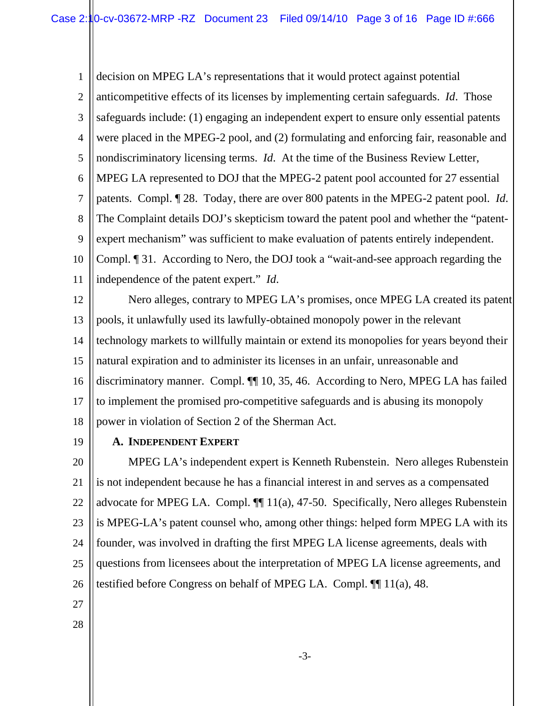1 2 3 4 5 6 7 8 9 10 11 decision on MPEG LA's representations that it would protect against potential anticompetitive effects of its licenses by implementing certain safeguards. *Id*. Those safeguards include: (1) engaging an independent expert to ensure only essential patents were placed in the MPEG-2 pool, and (2) formulating and enforcing fair, reasonable and nondiscriminatory licensing terms. *Id*. At the time of the Business Review Letter, MPEG LA represented to DOJ that the MPEG-2 patent pool accounted for 27 essential patents. Compl. ¶ 28. Today, there are over 800 patents in the MPEG-2 patent pool. *Id*. The Complaint details DOJ's skepticism toward the patent pool and whether the "patentexpert mechanism" was sufficient to make evaluation of patents entirely independent. Compl. ¶ 31. According to Nero, the DOJ took a "wait-and-see approach regarding the independence of the patent expert." *Id*.

12 13 14 15 16 17 18 Nero alleges, contrary to MPEG LA's promises, once MPEG LA created its patent pools, it unlawfully used its lawfully-obtained monopoly power in the relevant technology markets to willfully maintain or extend its monopolies for years beyond their natural expiration and to administer its licenses in an unfair, unreasonable and discriminatory manner. Compl. ¶¶ 10, 35, 46. According to Nero, MPEG LA has failed to implement the promised pro-competitive safeguards and is abusing its monopoly power in violation of Section 2 of the Sherman Act.

19

# **A. INDEPENDENT EXPERT**

20 21 22 23 24 25 26 MPEG LA's independent expert is Kenneth Rubenstein. Nero alleges Rubenstein is not independent because he has a financial interest in and serves as a compensated advocate for MPEG LA. Compl. ¶¶ 11(a), 47-50. Specifically, Nero alleges Rubenstein is MPEG-LA's patent counsel who, among other things: helped form MPEG LA with its founder, was involved in drafting the first MPEG LA license agreements, deals with questions from licensees about the interpretation of MPEG LA license agreements, and testified before Congress on behalf of MPEG LA. Compl. ¶¶ 11(a), 48.

- 27
- 28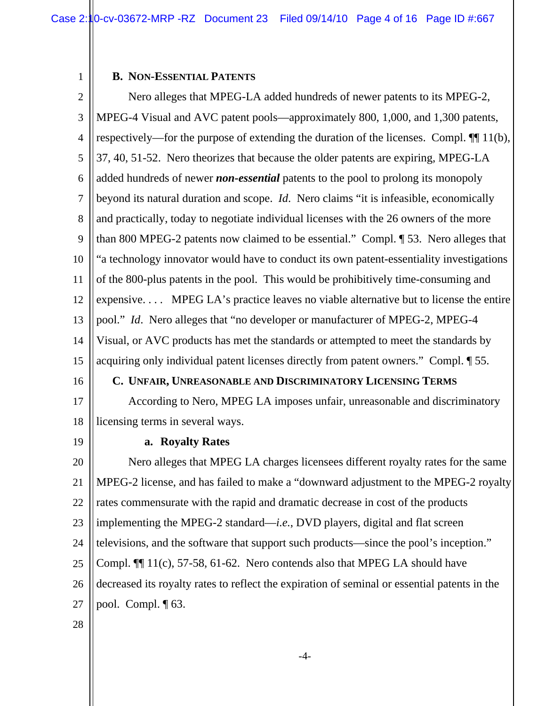Case 2:10-cv-03672-MRP -RZ Document 23 Filed 09/14/10 Page 4 of 16 Page ID #:667

#### **B. NON-ESSENTIAL PATENTS**

1

2 3 4 5 6 7 8 9 10 11 12 13 14 15 16 17 18 19 20 21 22 23 24 25 26 Nero alleges that MPEG-LA added hundreds of newer patents to its MPEG-2, MPEG-4 Visual and AVC patent pools—approximately 800, 1,000, and 1,300 patents, respectively—for the purpose of extending the duration of the licenses. Compl. ¶¶ 11(b), 37, 40, 51-52. Nero theorizes that because the older patents are expiring, MPEG-LA added hundreds of newer *non-essential* patents to the pool to prolong its monopoly beyond its natural duration and scope. *Id*. Nero claims "it is infeasible, economically and practically, today to negotiate individual licenses with the 26 owners of the more than 800 MPEG-2 patents now claimed to be essential." Compl. ¶ 53. Nero alleges that "a technology innovator would have to conduct its own patent-essentiality investigations of the 800-plus patents in the pool. This would be prohibitively time-consuming and expensive. . . . MPEG LA's practice leaves no viable alternative but to license the entire pool." *Id*. Nero alleges that "no developer or manufacturer of MPEG-2, MPEG-4 Visual, or AVC products has met the standards or attempted to meet the standards by acquiring only individual patent licenses directly from patent owners." Compl. ¶ 55. **C. UNFAIR, UNREASONABLE AND DISCRIMINATORY LICENSING TERMS** According to Nero, MPEG LA imposes unfair, unreasonable and discriminatory licensing terms in several ways. **a. Royalty Rates**  Nero alleges that MPEG LA charges licensees different royalty rates for the same MPEG-2 license, and has failed to make a "downward adjustment to the MPEG-2 royalty rates commensurate with the rapid and dramatic decrease in cost of the products implementing the MPEG-2 standard—*i.e.*, DVD players, digital and flat screen televisions, and the software that support such products—since the pool's inception." Compl. ¶¶ 11(c), 57-58, 61-62. Nero contends also that MPEG LA should have decreased its royalty rates to reflect the expiration of seminal or essential patents in the

27 pool. Compl. ¶ 63.

28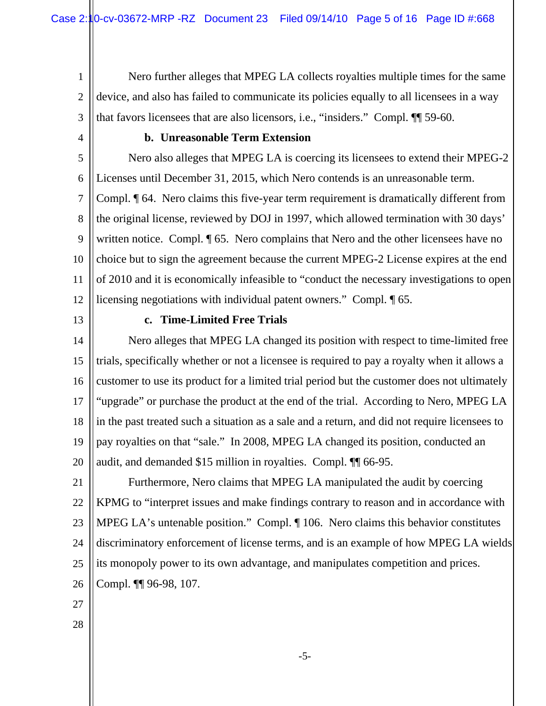1 2 3 Nero further alleges that MPEG LA collects royalties multiple times for the same device, and also has failed to communicate its policies equally to all licensees in a way that favors licensees that are also licensors, i.e., "insiders." Compl. ¶¶ 59-60.

4

# **b. Unreasonable Term Extension**

5 6 7 8 9 10 11 12 Nero also alleges that MPEG LA is coercing its licensees to extend their MPEG-2 Licenses until December 31, 2015, which Nero contends is an unreasonable term. Compl. ¶ 64. Nero claims this five-year term requirement is dramatically different from the original license, reviewed by DOJ in 1997, which allowed termination with 30 days' written notice. Compl.  $\P$  65. Nero complains that Nero and the other licensees have no choice but to sign the agreement because the current MPEG-2 License expires at the end of 2010 and it is economically infeasible to "conduct the necessary investigations to open licensing negotiations with individual patent owners." Compl. ¶ 65.

13

## **c. Time-Limited Free Trials**

14 15 16 17 18 19 20 Nero alleges that MPEG LA changed its position with respect to time-limited free trials, specifically whether or not a licensee is required to pay a royalty when it allows a customer to use its product for a limited trial period but the customer does not ultimately "upgrade" or purchase the product at the end of the trial. According to Nero, MPEG LA in the past treated such a situation as a sale and a return, and did not require licensees to pay royalties on that "sale." In 2008, MPEG LA changed its position, conducted an audit, and demanded \$15 million in royalties. Compl. ¶¶ 66-95.

21 22 23 24 25 26 Furthermore, Nero claims that MPEG LA manipulated the audit by coercing KPMG to "interpret issues and make findings contrary to reason and in accordance with MPEG LA's untenable position." Compl. ¶ 106. Nero claims this behavior constitutes discriminatory enforcement of license terms, and is an example of how MPEG LA wields its monopoly power to its own advantage, and manipulates competition and prices. Compl. ¶¶ 96-98, 107.

- 27
- 28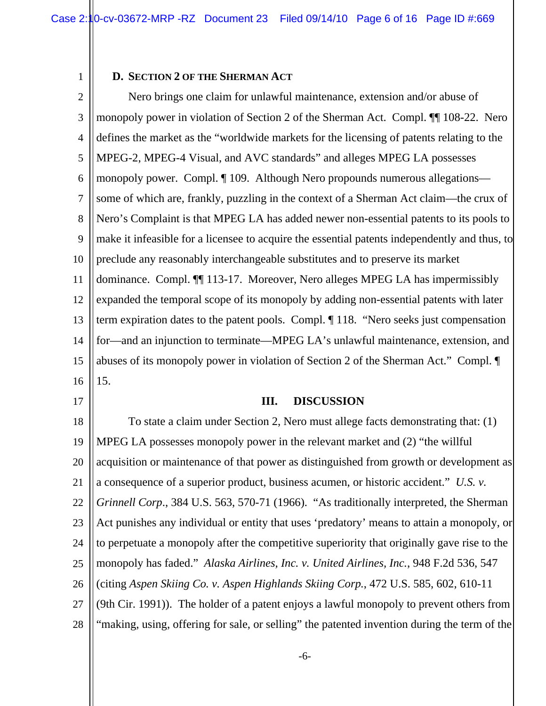#### **D. SECTION 2 OF THE SHERMAN ACT**

1

17

2 3 4 5 6 7 8 9 10 11 12 13 14 15 16 Nero brings one claim for unlawful maintenance, extension and/or abuse of monopoly power in violation of Section 2 of the Sherman Act. Compl. ¶¶ 108-22. Nero defines the market as the "worldwide markets for the licensing of patents relating to the MPEG-2, MPEG-4 Visual, and AVC standards" and alleges MPEG LA possesses monopoly power. Compl. ¶ 109. Although Nero propounds numerous allegations some of which are, frankly, puzzling in the context of a Sherman Act claim—the crux of Nero's Complaint is that MPEG LA has added newer non-essential patents to its pools to make it infeasible for a licensee to acquire the essential patents independently and thus, to preclude any reasonably interchangeable substitutes and to preserve its market dominance. Compl. ¶¶ 113-17. Moreover, Nero alleges MPEG LA has impermissibly expanded the temporal scope of its monopoly by adding non-essential patents with later term expiration dates to the patent pools. Compl. ¶ 118. "Nero seeks just compensation for—and an injunction to terminate—MPEG LA's unlawful maintenance, extension, and abuses of its monopoly power in violation of Section 2 of the Sherman Act." Compl. ¶ 15.

**III. DISCUSSION** 

18 19 20 21 22 23 24 25 26 27 28 To state a claim under Section 2, Nero must allege facts demonstrating that: (1) MPEG LA possesses monopoly power in the relevant market and (2) "the willful acquisition or maintenance of that power as distinguished from growth or development as a consequence of a superior product, business acumen, or historic accident." *U.S. v. Grinnell Corp*., 384 U.S. 563, 570-71 (1966). "As traditionally interpreted, the Sherman Act punishes any individual or entity that uses 'predatory' means to attain a monopoly, or to perpetuate a monopoly after the competitive superiority that originally gave rise to the monopoly has faded." *Alaska Airlines, Inc. v. United Airlines, Inc.*, 948 F.2d 536, 547 (citing *Aspen Skiing Co. v. Aspen Highlands Skiing Corp.*, 472 U.S. 585, 602, 610-11 (9th Cir. 1991)). The holder of a patent enjoys a lawful monopoly to prevent others from "making, using, offering for sale, or selling" the patented invention during the term of the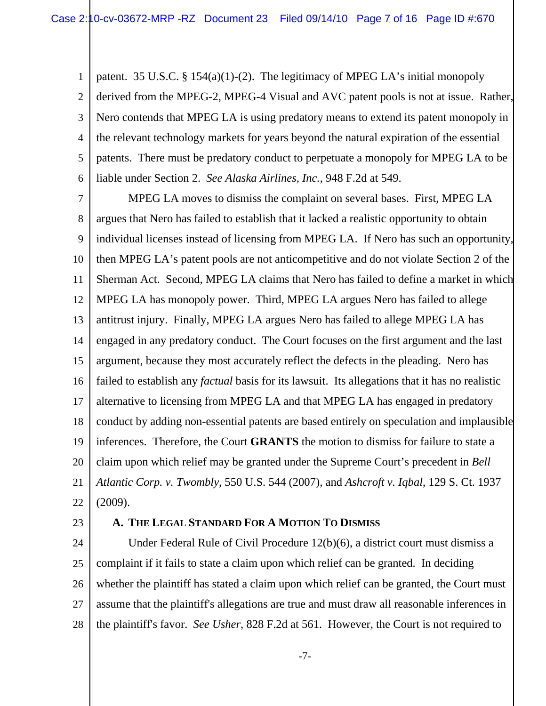1 2 3 4 5 6 patent. 35 U.S.C. § 154(a)(1)-(2). The legitimacy of MPEG LA's initial monopoly derived from the MPEG-2, MPEG-4 Visual and AVC patent pools is not at issue. Rather, Nero contends that MPEG LA is using predatory means to extend its patent monopoly in the relevant technology markets for years beyond the natural expiration of the essential patents. There must be predatory conduct to perpetuate a monopoly for MPEG LA to be liable under Section 2. *See Alaska Airlines, Inc.*, 948 F.2d at 549.

7 8 9 10 11 12 13 14 15 16 17 18 19 20 21 22 MPEG LA moves to dismiss the complaint on several bases. First, MPEG LA argues that Nero has failed to establish that it lacked a realistic opportunity to obtain individual licenses instead of licensing from MPEG LA. If Nero has such an opportunity, then MPEG LA's patent pools are not anticompetitive and do not violate Section 2 of the Sherman Act. Second, MPEG LA claims that Nero has failed to define a market in which MPEG LA has monopoly power. Third, MPEG LA argues Nero has failed to allege antitrust injury. Finally, MPEG LA argues Nero has failed to allege MPEG LA has engaged in any predatory conduct. The Court focuses on the first argument and the last argument, because they most accurately reflect the defects in the pleading. Nero has failed to establish any *factual* basis for its lawsuit. Its allegations that it has no realistic alternative to licensing from MPEG LA and that MPEG LA has engaged in predatory conduct by adding non-essential patents are based entirely on speculation and implausible inferences. Therefore, the Court **GRANTS** the motion to dismiss for failure to state a claim upon which relief may be granted under the Supreme Court's precedent in *Bell Atlantic Corp. v. Twombly*, 550 U.S. 544 (2007), and *Ashcroft v. Iqbal*, 129 S. Ct. 1937 (2009).

23

## **A. THE LEGAL STANDARD FOR A MOTION TO DISMISS**

24 25 26 27 28 Under Federal Rule of Civil Procedure 12(b)(6), a district court must dismiss a complaint if it fails to state a claim upon which relief can be granted. In deciding whether the plaintiff has stated a claim upon which relief can be granted, the Court must assume that the plaintiff's allegations are true and must draw all reasonable inferences in the plaintiff's favor. *See Usher*, 828 F.2d at 561. However, the Court is not required to

-7-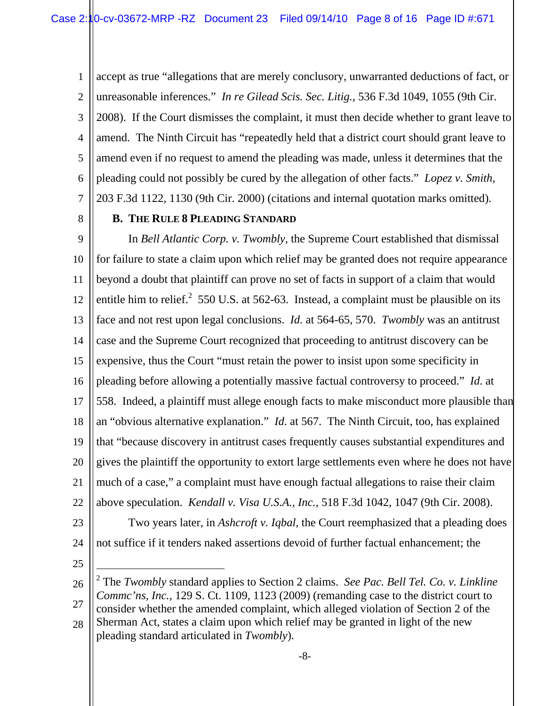1 2 3 4 5 6 7 accept as true "allegations that are merely conclusory, unwarranted deductions of fact, or unreasonable inferences." *In re Gilead Scis. Sec. Litig.*, 536 F.3d 1049, 1055 (9th Cir. 2008). If the Court dismisses the complaint, it must then decide whether to grant leave to amend. The Ninth Circuit has "repeatedly held that a district court should grant leave to amend even if no request to amend the pleading was made, unless it determines that the pleading could not possibly be cured by the allegation of other facts." *Lopez v. Smith*, 203 F.3d 1122, 1130 (9th Cir. 2000) (citations and internal quotation marks omitted).

8

## **B. THE RULE 8 PLEADING STANDARD**

9 10 11 12 13 14 15 16 17 18 19 20 21 22 In *Bell Atlantic Corp. v. Twombly*, the Supreme Court established that dismissal for failure to state a claim upon which relief may be granted does not require appearance beyond a doubt that plaintiff can prove no set of facts in support of a claim that would entitle him to relief.<sup>2</sup> 550 U.S. at 562-63. Instead, a complaint must be plausible on its face and not rest upon legal conclusions. *Id.* at 564-65, 570. *Twombly* was an antitrust case and the Supreme Court recognized that proceeding to antitrust discovery can be expensive, thus the Court "must retain the power to insist upon some specificity in pleading before allowing a potentially massive factual controversy to proceed." *Id*. at 558. Indeed, a plaintiff must allege enough facts to make misconduct more plausible than an "obvious alternative explanation." *Id*. at 567. The Ninth Circuit, too, has explained that "because discovery in antitrust cases frequently causes substantial expenditures and gives the plaintiff the opportunity to extort large settlements even where he does not have much of a case," a complaint must have enough factual allegations to raise their claim above speculation. *Kendall v. Visa U.S.A., Inc.*, 518 F.3d 1042, 1047 (9th Cir. 2008).

23

24 Two years later, in *Ashcroft v. Iqbal*, the Court reemphasized that a pleading does not suffice if it tenders naked assertions devoid of further factual enhancement; the

25

 $\overline{a}$ 

<sup>26</sup> 27 28 2 The *Twombly* standard applies to Section 2 claims. *See Pac. Bell Tel. Co. v. Linkline Commc'ns, Inc.,* 129 S. Ct. 1109, 1123 (2009) (remanding case to the district court to consider whether the amended complaint, which alleged violation of Section 2 of the Sherman Act, states a claim upon which relief may be granted in light of the new pleading standard articulated in *Twombly*).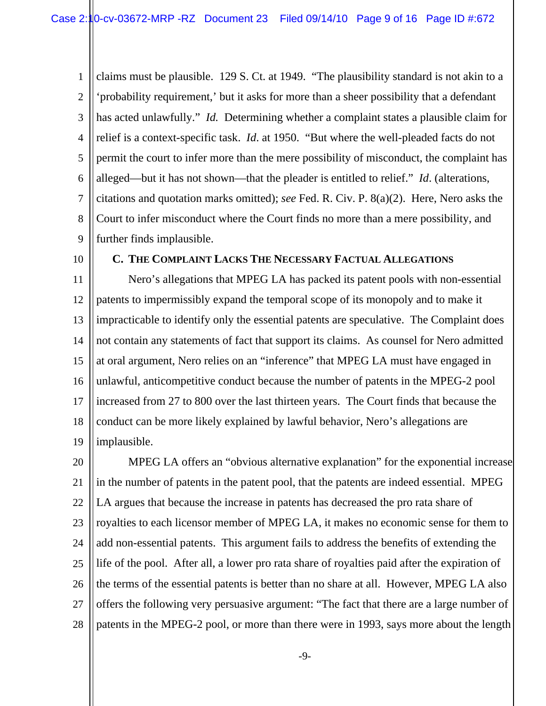1 2 3 4 5 6 7 8 9 claims must be plausible. 129 S. Ct. at 1949. "The plausibility standard is not akin to a 'probability requirement,' but it asks for more than a sheer possibility that a defendant has acted unlawfully." *Id.* Determining whether a complaint states a plausible claim for relief is a context-specific task. *Id*. at 1950. "But where the well-pleaded facts do not permit the court to infer more than the mere possibility of misconduct, the complaint has alleged—but it has not shown—that the pleader is entitled to relief." *Id*. (alterations, citations and quotation marks omitted); *see* Fed. R. Civ. P. 8(a)(2). Here, Nero asks the Court to infer misconduct where the Court finds no more than a mere possibility, and further finds implausible.

10

#### **C. THE COMPLAINT LACKS THE NECESSARY FACTUAL ALLEGATIONS**

11 12 13 14 15 16 17 18 19 Nero's allegations that MPEG LA has packed its patent pools with non-essential patents to impermissibly expand the temporal scope of its monopoly and to make it impracticable to identify only the essential patents are speculative. The Complaint does not contain any statements of fact that support its claims. As counsel for Nero admitted at oral argument, Nero relies on an "inference" that MPEG LA must have engaged in unlawful, anticompetitive conduct because the number of patents in the MPEG-2 pool increased from 27 to 800 over the last thirteen years. The Court finds that because the conduct can be more likely explained by lawful behavior, Nero's allegations are implausible.

20 21 22 23 24 25 26 27 28 MPEG LA offers an "obvious alternative explanation" for the exponential increase in the number of patents in the patent pool, that the patents are indeed essential. MPEG LA argues that because the increase in patents has decreased the pro rata share of royalties to each licensor member of MPEG LA, it makes no economic sense for them to add non-essential patents. This argument fails to address the benefits of extending the life of the pool. After all, a lower pro rata share of royalties paid after the expiration of the terms of the essential patents is better than no share at all. However, MPEG LA also offers the following very persuasive argument: "The fact that there are a large number of patents in the MPEG-2 pool, or more than there were in 1993, says more about the length

-9-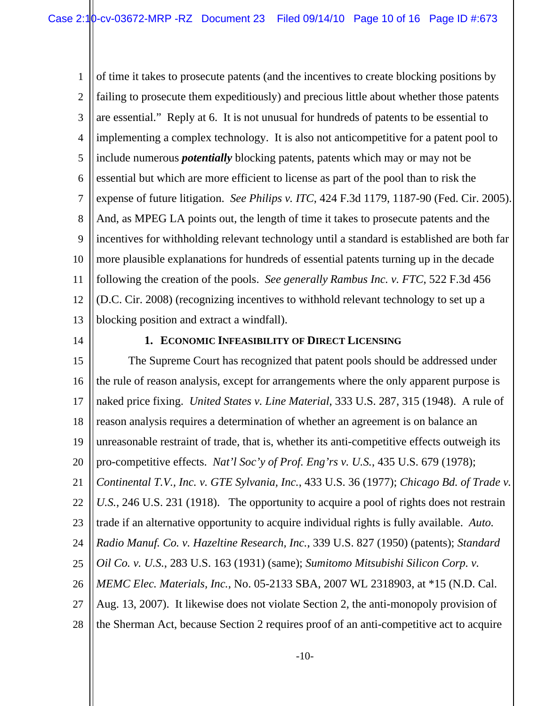1 2 3 4 5 6 7 8 9 10 11 12 13 of time it takes to prosecute patents (and the incentives to create blocking positions by failing to prosecute them expeditiously) and precious little about whether those patents are essential." Reply at 6. It is not unusual for hundreds of patents to be essential to implementing a complex technology. It is also not anticompetitive for a patent pool to include numerous *potentially* blocking patents, patents which may or may not be essential but which are more efficient to license as part of the pool than to risk the expense of future litigation. *See Philips v. ITC*, 424 F.3d 1179, 1187-90 (Fed. Cir. 2005). And, as MPEG LA points out, the length of time it takes to prosecute patents and the incentives for withholding relevant technology until a standard is established are both far more plausible explanations for hundreds of essential patents turning up in the decade following the creation of the pools. *See generally Rambus Inc. v. FTC*, 522 F.3d 456 (D.C. Cir. 2008) (recognizing incentives to withhold relevant technology to set up a blocking position and extract a windfall).

14

## **1. ECONOMIC INFEASIBILITY OF DIRECT LICENSING**

15 16 17 18 19 20 21 22 23 24 25 26 27 28 The Supreme Court has recognized that patent pools should be addressed under the rule of reason analysis, except for arrangements where the only apparent purpose is naked price fixing. *United States v. Line Material*, 333 U.S. 287, 315 (1948). A rule of reason analysis requires a determination of whether an agreement is on balance an unreasonable restraint of trade, that is, whether its anti-competitive effects outweigh its pro-competitive effects. *Nat'l Soc'y of Prof. Eng'rs v. U.S.*, 435 U.S. 679 (1978); *Continental T.V., Inc. v. GTE Sylvania, Inc.*, 433 U.S. 36 (1977); *Chicago Bd. of Trade v. U.S.*, 246 U.S. 231 (1918). The opportunity to acquire a pool of rights does not restrain trade if an alternative opportunity to acquire individual rights is fully available. *Auto. Radio Manuf. Co. v. Hazeltine Research, Inc.*, 339 U.S. 827 (1950) (patents); *Standard Oil Co. v. U.S.*, 283 U.S. 163 (1931) (same); *Sumitomo Mitsubishi Silicon Corp. v. MEMC Elec. Materials, Inc.*, No. 05-2133 SBA, 2007 WL 2318903, at \*15 (N.D. Cal. Aug. 13, 2007). It likewise does not violate Section 2, the anti-monopoly provision of the Sherman Act, because Section 2 requires proof of an anti-competitive act to acquire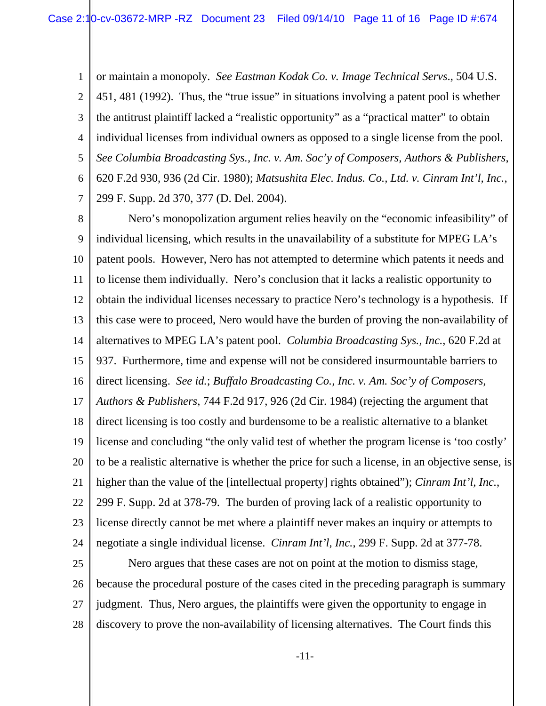1 2 3 4 5 6 7 or maintain a monopoly. *See Eastman Kodak Co. v. Image Technical Servs*., 504 U.S. 451, 481 (1992). Thus, the "true issue" in situations involving a patent pool is whether the antitrust plaintiff lacked a "realistic opportunity" as a "practical matter" to obtain individual licenses from individual owners as opposed to a single license from the pool. *See Columbia Broadcasting Sys., Inc. v. Am. Soc'y of Composers, Authors & Publishers*, 620 F.2d 930, 936 (2d Cir. 1980); *Matsushita Elec. Indus. Co., Ltd. v. Cinram Int'l, Inc.*, 299 F. Supp. 2d 370, 377 (D. Del. 2004).

8 9 10 11 12 13 14 15 16 17 18 19 20 21 22 23 24 Nero's monopolization argument relies heavily on the "economic infeasibility" of individual licensing, which results in the unavailability of a substitute for MPEG LA's patent pools. However, Nero has not attempted to determine which patents it needs and to license them individually. Nero's conclusion that it lacks a realistic opportunity to obtain the individual licenses necessary to practice Nero's technology is a hypothesis. If this case were to proceed, Nero would have the burden of proving the non-availability of alternatives to MPEG LA's patent pool. *Columbia Broadcasting Sys., Inc.*, 620 F.2d at 937. Furthermore, time and expense will not be considered insurmountable barriers to direct licensing. *See id.*; *Buffalo Broadcasting Co., Inc. v. Am. Soc'y of Composers, Authors & Publishers*, 744 F.2d 917, 926 (2d Cir. 1984) (rejecting the argument that direct licensing is too costly and burdensome to be a realistic alternative to a blanket license and concluding "the only valid test of whether the program license is 'too costly' to be a realistic alternative is whether the price for such a license, in an objective sense, is higher than the value of the [intellectual property] rights obtained"); *Cinram Int'l, Inc.*, 299 F. Supp. 2d at 378-79. The burden of proving lack of a realistic opportunity to license directly cannot be met where a plaintiff never makes an inquiry or attempts to negotiate a single individual license. *Cinram Int'l, Inc.*, 299 F. Supp. 2d at 377-78.

25 26 27 28 Nero argues that these cases are not on point at the motion to dismiss stage, because the procedural posture of the cases cited in the preceding paragraph is summary judgment. Thus, Nero argues, the plaintiffs were given the opportunity to engage in discovery to prove the non-availability of licensing alternatives. The Court finds this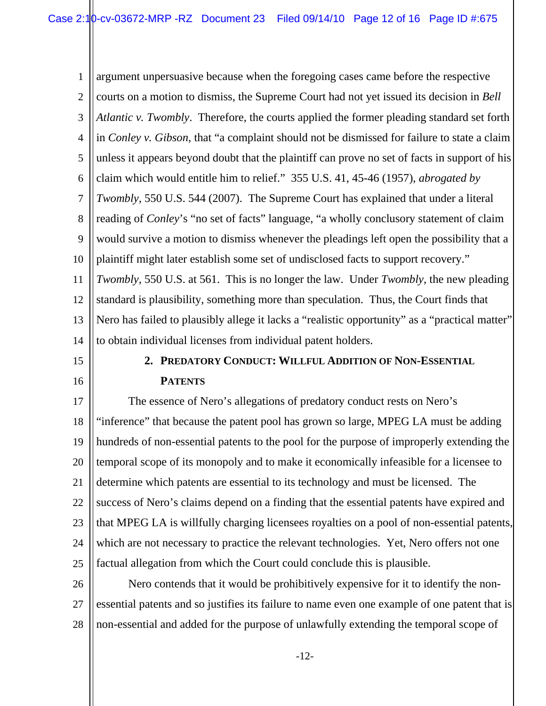1 2 3 4 5 6 7 8 9 10 11 12 13 14 argument unpersuasive because when the foregoing cases came before the respective courts on a motion to dismiss, the Supreme Court had not yet issued its decision in *Bell Atlantic v. Twombly*. Therefore, the courts applied the former pleading standard set forth in *Conley v. Gibson*, that "a complaint should not be dismissed for failure to state a claim unless it appears beyond doubt that the plaintiff can prove no set of facts in support of his claim which would entitle him to relief." 355 U.S. 41, 45-46 (1957), *abrogated by Twombly*, 550 U.S. 544 (2007). The Supreme Court has explained that under a literal reading of *Conley*'s "no set of facts" language, "a wholly conclusory statement of claim would survive a motion to dismiss whenever the pleadings left open the possibility that a plaintiff might later establish some set of undisclosed facts to support recovery." *Twombly*, 550 U.S. at 561. This is no longer the law. Under *Twombly*, the new pleading standard is plausibility, something more than speculation. Thus, the Court finds that Nero has failed to plausibly allege it lacks a "realistic opportunity" as a "practical matter" to obtain individual licenses from individual patent holders.

15

16

**2. PREDATORY CONDUCT: WILLFUL ADDITION OF NON-ESSENTIAL PATENTS**

17 18 19 20 21 22 23 24 25 The essence of Nero's allegations of predatory conduct rests on Nero's "inference" that because the patent pool has grown so large, MPEG LA must be adding hundreds of non-essential patents to the pool for the purpose of improperly extending the temporal scope of its monopoly and to make it economically infeasible for a licensee to determine which patents are essential to its technology and must be licensed. The success of Nero's claims depend on a finding that the essential patents have expired and that MPEG LA is willfully charging licensees royalties on a pool of non-essential patents, which are not necessary to practice the relevant technologies. Yet, Nero offers not one factual allegation from which the Court could conclude this is plausible.

26 27 28 Nero contends that it would be prohibitively expensive for it to identify the nonessential patents and so justifies its failure to name even one example of one patent that is non-essential and added for the purpose of unlawfully extending the temporal scope of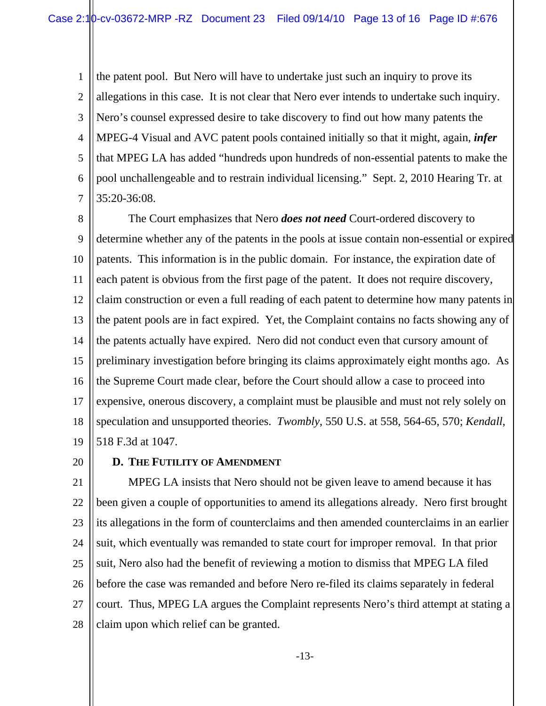1 2 3 4 5 6 7 the patent pool. But Nero will have to undertake just such an inquiry to prove its allegations in this case. It is not clear that Nero ever intends to undertake such inquiry. Nero's counsel expressed desire to take discovery to find out how many patents the MPEG-4 Visual and AVC patent pools contained initially so that it might, again, *infer* that MPEG LA has added "hundreds upon hundreds of non-essential patents to make the pool unchallengeable and to restrain individual licensing." Sept. 2, 2010 Hearing Tr. at 35:20-36:08.

8 9 10 11 12 13 14 15 16 17 18 19 The Court emphasizes that Nero *does not need* Court-ordered discovery to determine whether any of the patents in the pools at issue contain non-essential or expired patents. This information is in the public domain. For instance, the expiration date of each patent is obvious from the first page of the patent. It does not require discovery, claim construction or even a full reading of each patent to determine how many patents in the patent pools are in fact expired. Yet, the Complaint contains no facts showing any of the patents actually have expired. Nero did not conduct even that cursory amount of preliminary investigation before bringing its claims approximately eight months ago. As the Supreme Court made clear, before the Court should allow a case to proceed into expensive, onerous discovery, a complaint must be plausible and must not rely solely on speculation and unsupported theories. *Twombly*, 550 U.S. at 558, 564-65, 570; *Kendall*, 518 F.3d at 1047.

20

## **D. THE FUTILITY OF AMENDMENT**

21 22 23 24 25 26 27 28 MPEG LA insists that Nero should not be given leave to amend because it has been given a couple of opportunities to amend its allegations already. Nero first brought its allegations in the form of counterclaims and then amended counterclaims in an earlier suit, which eventually was remanded to state court for improper removal. In that prior suit, Nero also had the benefit of reviewing a motion to dismiss that MPEG LA filed before the case was remanded and before Nero re-filed its claims separately in federal court. Thus, MPEG LA argues the Complaint represents Nero's third attempt at stating a claim upon which relief can be granted.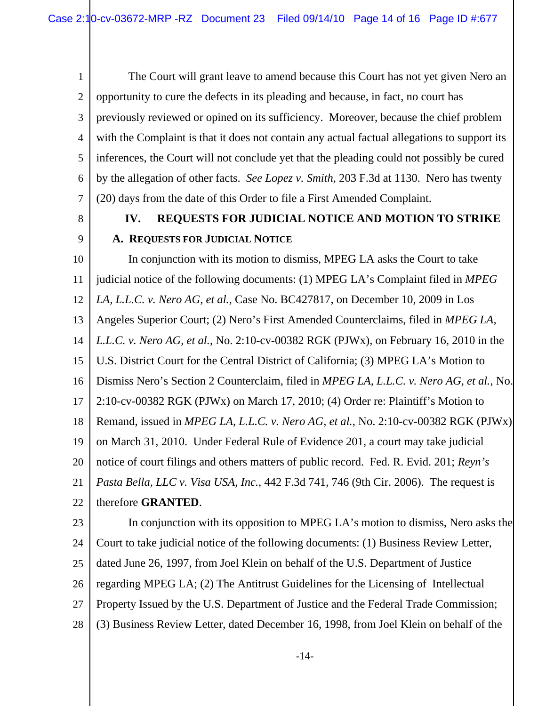1 2 3 4 5 6 7 The Court will grant leave to amend because this Court has not yet given Nero an opportunity to cure the defects in its pleading and because, in fact, no court has previously reviewed or opined on its sufficiency. Moreover, because the chief problem with the Complaint is that it does not contain any actual factual allegations to support its inferences, the Court will not conclude yet that the pleading could not possibly be cured by the allegation of other facts. *See Lopez v. Smith*, 203 F.3d at 1130. Nero has twenty (20) days from the date of this Order to file a First Amended Complaint.

8

9

# **IV. REQUESTS FOR JUDICIAL NOTICE AND MOTION TO STRIKE A. REQUESTS FOR JUDICIAL NOTICE**

10 11 12 13 14 15 16 17 18 19 20 21 22 In conjunction with its motion to dismiss, MPEG LA asks the Court to take judicial notice of the following documents: (1) MPEG LA's Complaint filed in *MPEG LA, L.L.C. v. Nero AG, et al.*, Case No. BC427817, on December 10, 2009 in Los Angeles Superior Court; (2) Nero's First Amended Counterclaims, filed in *MPEG LA, L.L.C. v. Nero AG, et al.*, No. 2:10-cv-00382 RGK (PJWx), on February 16, 2010 in the U.S. District Court for the Central District of California; (3) MPEG LA's Motion to Dismiss Nero's Section 2 Counterclaim, filed in *MPEG LA, L.L.C. v. Nero AG, et al.*, No. 2:10-cv-00382 RGK (PJWx) on March 17, 2010; (4) Order re: Plaintiff's Motion to Remand, issued in *MPEG LA, L.L.C. v. Nero AG, et al.*, No. 2:10-cv-00382 RGK (PJWx) on March 31, 2010. Under Federal Rule of Evidence 201, a court may take judicial notice of court filings and others matters of public record. Fed. R. Evid. 201; *Reyn's Pasta Bella, LLC v. Visa USA, Inc.*, 442 F.3d 741, 746 (9th Cir. 2006). The request is therefore **GRANTED**.

23 24 25 26 27 28 In conjunction with its opposition to MPEG LA's motion to dismiss, Nero asks the Court to take judicial notice of the following documents: (1) Business Review Letter, dated June 26, 1997, from Joel Klein on behalf of the U.S. Department of Justice regarding MPEG LA; (2) The Antitrust Guidelines for the Licensing of Intellectual Property Issued by the U.S. Department of Justice and the Federal Trade Commission; (3) Business Review Letter, dated December 16, 1998, from Joel Klein on behalf of the

-14-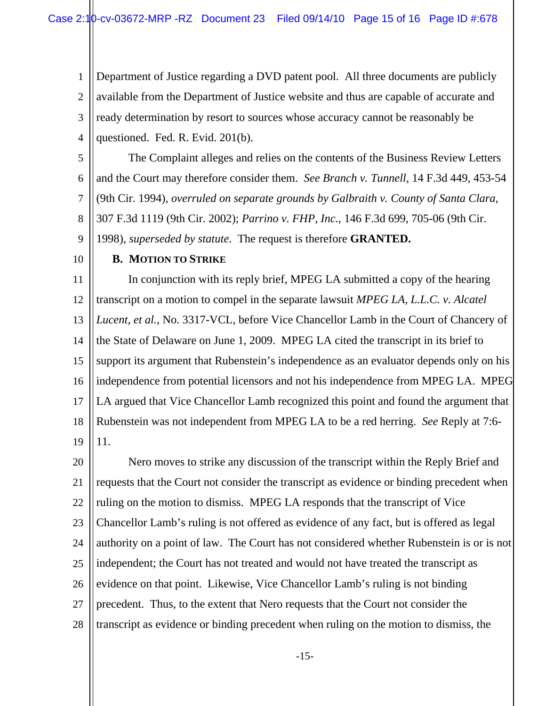1 2 3 4 Department of Justice regarding a DVD patent pool. All three documents are publicly available from the Department of Justice website and thus are capable of accurate and ready determination by resort to sources whose accuracy cannot be reasonably be questioned. Fed. R. Evid. 201(b).

5 6 7 8 The Complaint alleges and relies on the contents of the Business Review Letters and the Court may therefore consider them. *See Branch v. Tunnell*, 14 F.3d 449, 453-54 (9th Cir. 1994), *overruled on separate grounds by Galbraith v. County of Santa Clara*, 307 F.3d 1119 (9th Cir. 2002); *Parrino v. FHP, Inc.*, 146 F.3d 699, 705-06 (9th Cir.

9 1998), *superseded by statute*. The request is therefore **GRANTED.** 

10

## **B. MOTION TO STRIKE**

11 12 13 14 15 16 17 18 19 In conjunction with its reply brief, MPEG LA submitted a copy of the hearing transcript on a motion to compel in the separate lawsuit *MPEG LA, L.L.C. v. Alcatel Lucent, et al.*, No. 3317-VCL, before Vice Chancellor Lamb in the Court of Chancery of the State of Delaware on June 1, 2009. MPEG LA cited the transcript in its brief to support its argument that Rubenstein's independence as an evaluator depends only on his independence from potential licensors and not his independence from MPEG LA. MPEG LA argued that Vice Chancellor Lamb recognized this point and found the argument that Rubenstein was not independent from MPEG LA to be a red herring. *See* Reply at 7:6- 11.

20 21 22 23 24 25 26 27 28 Nero moves to strike any discussion of the transcript within the Reply Brief and requests that the Court not consider the transcript as evidence or binding precedent when ruling on the motion to dismiss. MPEG LA responds that the transcript of Vice Chancellor Lamb's ruling is not offered as evidence of any fact, but is offered as legal authority on a point of law. The Court has not considered whether Rubenstein is or is not independent; the Court has not treated and would not have treated the transcript as evidence on that point. Likewise, Vice Chancellor Lamb's ruling is not binding precedent. Thus, to the extent that Nero requests that the Court not consider the transcript as evidence or binding precedent when ruling on the motion to dismiss, the

-15-